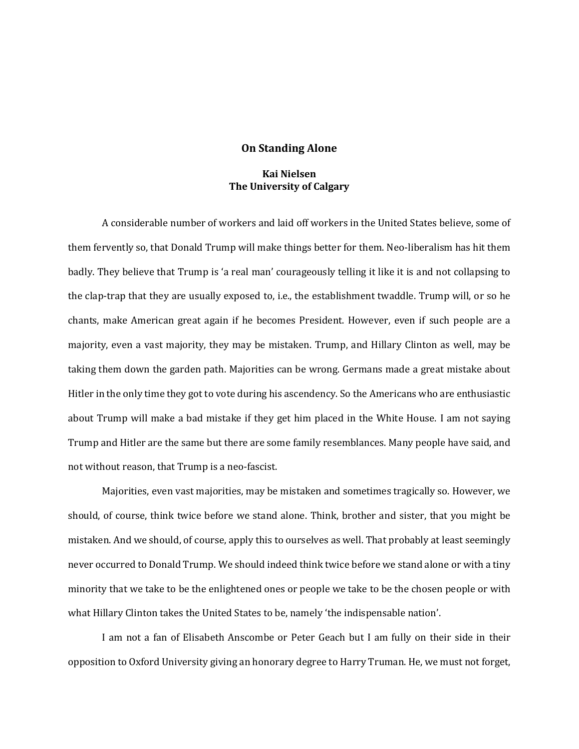## **On Standing Alone**

## **Kai Nielsen The University of Calgary**

A considerable number of workers and laid off workers in the United States believe, some of them fervently so, that Donald Trump will make things better for them. Neo-liberalism has hit them badly. They believe that Trump is 'a real man' courageously telling it like it is and not collapsing to the clap-trap that they are usually exposed to, i.e., the establishment twaddle. Trump will, or so he chants, make American great again if he becomes President. However, even if such people are a majority, even a vast majority, they may be mistaken. Trump, and Hillary Clinton as well, may be taking them down the garden path. Majorities can be wrong. Germans made a great mistake about Hitler in the only time they got to vote during his ascendency. So the Americans who are enthusiastic about Trump will make a bad mistake if they get him placed in the White House. I am not saying Trump and Hitler are the same but there are some family resemblances. Many people have said, and not without reason, that Trump is a neo-fascist.

Majorities, even vast majorities, may be mistaken and sometimes tragically so. However, we should, of course, think twice before we stand alone. Think, brother and sister, that you might be mistaken. And we should, of course, apply this to ourselves as well. That probably at least seemingly never occurred to Donald Trump. We should indeed think twice before we stand alone or with a tiny minority that we take to be the enlightened ones or people we take to be the chosen people or with what Hillary Clinton takes the United States to be, namely 'the indispensable nation'.

I am not a fan of Elisabeth Anscombe or Peter Geach but I am fully on their side in their opposition to Oxford University giving an honorary degree to Harry Truman. He, we must not forget,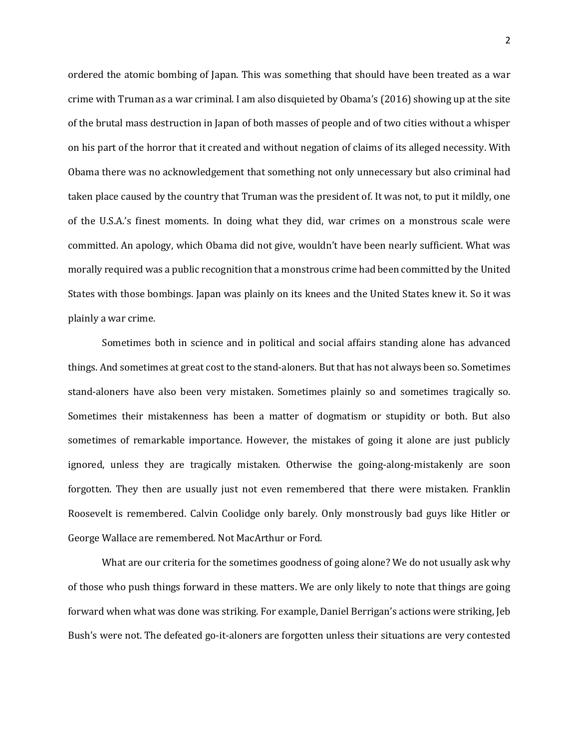ordered the atomic bombing of Japan. This was something that should have been treated as a war crime with Truman as a war criminal. I am also disquieted by Obama's (2016) showing up at the site of the brutal mass destruction in Japan of both masses of people and of two cities without a whisper on his part of the horror that it created and without negation of claims of its alleged necessity. With Obama there was no acknowledgement that something not only unnecessary but also criminal had taken place caused by the country that Truman was the president of. It was not, to put it mildly, one of the U.S.A.'s finest moments. In doing what they did, war crimes on a monstrous scale were committed. An apology, which Obama did not give, wouldn't have been nearly sufficient. What was morally required was a public recognition that a monstrous crime had been committed by the United States with those bombings. Japan was plainly on its knees and the United States knew it. So it was plainly a war crime.

Sometimes both in science and in political and social affairs standing alone has advanced things. And sometimes at great cost to the stand-aloners. But that has not always been so. Sometimes stand-aloners have also been very mistaken. Sometimes plainly so and sometimes tragically so. Sometimes their mistakenness has been a matter of dogmatism or stupidity or both. But also sometimes of remarkable importance. However, the mistakes of going it alone are just publicly ignored, unless they are tragically mistaken. Otherwise the going-along-mistakenly are soon forgotten. They then are usually just not even remembered that there were mistaken. Franklin Roosevelt is remembered. Calvin Coolidge only barely. Only monstrously bad guys like Hitler or George Wallace are remembered. Not MacArthur or Ford.

What are our criteria for the sometimes goodness of going alone? We do not usually ask why of those who push things forward in these matters. We are only likely to note that things are going forward when what was done was striking. For example, Daniel Berrigan's actions were striking, Jeb Bush's were not. The defeated go-it-aloners are forgotten unless their situations are very contested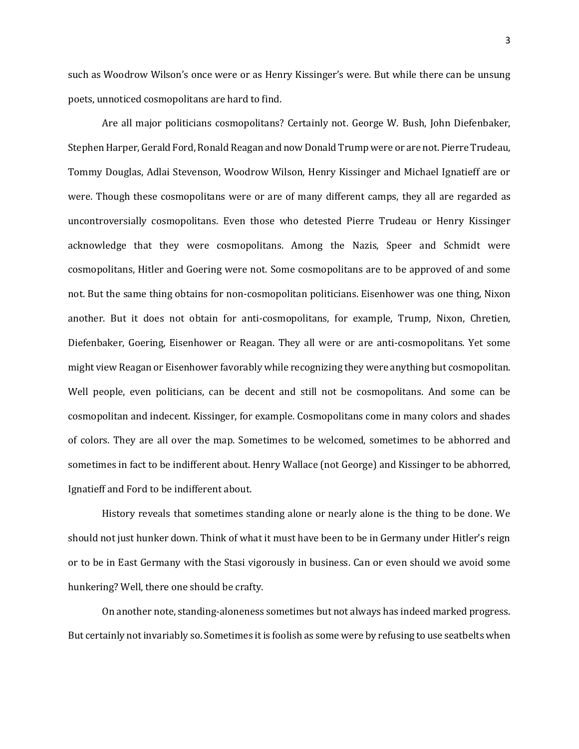such as Woodrow Wilson's once were or as Henry Kissinger's were. But while there can be unsung poets, unnoticed cosmopolitans are hard to find.

Are all major politicians cosmopolitans? Certainly not. George W. Bush, John Diefenbaker, Stephen Harper, Gerald Ford, Ronald Reagan and now Donald Trump were or are not. Pierre Trudeau, Tommy Douglas, Adlai Stevenson, Woodrow Wilson, Henry Kissinger and Michael Ignatieff are or were. Though these cosmopolitans were or are of many different camps, they all are regarded as uncontroversially cosmopolitans. Even those who detested Pierre Trudeau or Henry Kissinger acknowledge that they were cosmopolitans. Among the Nazis, Speer and Schmidt were cosmopolitans, Hitler and Goering were not. Some cosmopolitans are to be approved of and some not. But the same thing obtains for non-cosmopolitan politicians. Eisenhower was one thing, Nixon another. But it does not obtain for anti-cosmopolitans, for example, Trump, Nixon, Chretien, Diefenbaker, Goering, Eisenhower or Reagan. They all were or are anti-cosmopolitans. Yet some might view Reagan or Eisenhower favorably while recognizing they were anything but cosmopolitan. Well people, even politicians, can be decent and still not be cosmopolitans. And some can be cosmopolitan and indecent. Kissinger, for example. Cosmopolitans come in many colors and shades of colors. They are all over the map. Sometimes to be welcomed, sometimes to be abhorred and sometimes in fact to be indifferent about. Henry Wallace (not George) and Kissinger to be abhorred, Ignatieff and Ford to be indifferent about.

History reveals that sometimes standing alone or nearly alone is the thing to be done. We should not just hunker down. Think of what it must have been to be in Germany under Hitler's reign or to be in East Germany with the Stasi vigorously in business. Can or even should we avoid some hunkering? Well, there one should be crafty.

On another note, standing-aloneness sometimes but not always has indeed marked progress. But certainly not invariably so. Sometimes it is foolish as some were by refusing to use seatbelts when